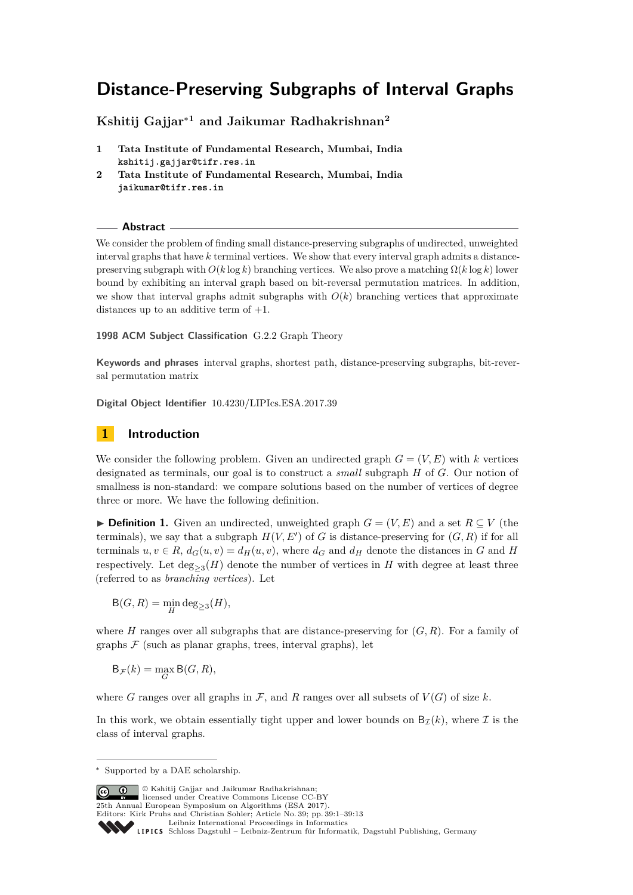# **Distance-Preserving Subgraphs of Interval Graphs**

**Kshitij Gajjar**<sup>∗</sup>**<sup>1</sup> and Jaikumar Radhakrishnan<sup>2</sup>**

- **1 Tata Institute of Fundamental Research, Mumbai, India kshitij.gajjar@tifr.res.in**
- **2 Tata Institute of Fundamental Research, Mumbai, India jaikumar@tifr.res.in**

**Abstract**

We consider the problem of finding small distance-preserving subgraphs of undirected, unweighted interval graphs that have *k* terminal vertices. We show that every interval graph admits a distancepreserving subgraph with *O*(*k* log *k*) branching vertices. We also prove a matching Ω(*k* log *k*) lower bound by exhibiting an interval graph based on bit-reversal permutation matrices. In addition, we show that interval graphs admit subgraphs with  $O(k)$  branching vertices that approximate distances up to an additive term of +1.

**1998 ACM Subject Classification** G.2.2 Graph Theory

**Keywords and phrases** interval graphs, shortest path, distance-preserving subgraphs, bit-reversal permutation matrix

**Digital Object Identifier** [10.4230/LIPIcs.ESA.2017.39](http://dx.doi.org/10.4230/LIPIcs.ESA.2017.39)

# **1 Introduction**

We consider the following problem. Given an undirected graph  $G = (V, E)$  with *k* vertices designated as terminals, our goal is to construct a *small* subgraph *H* of *G*. Our notion of smallness is non-standard: we compare solutions based on the number of vertices of degree three or more. We have the following definition.

**► Definition 1.** Given an undirected, unweighted graph  $G = (V, E)$  and a set  $R \subseteq V$  (the terminals), we say that a subgraph  $H(V, E')$  of *G* is distance-preserving for  $(G, R)$  if for all terminals  $u, v \in R$ ,  $d_G(u, v) = d_H(u, v)$ , where  $d_G$  and  $d_H$  denote the distances in *G* and *H* respectively. Let  $\deg_{\geq 3}(H)$  denote the number of vertices in  $H$  with degree at least three (referred to as *branching vertices*). Let

$$
\mathsf{B}(G,R) = \min_{H} \deg_{\geq 3}(H),
$$

where *H* ranges over all subgraphs that are distance-preserving for  $(G, R)$ . For a family of graphs  $F$  (such as planar graphs, trees, interval graphs), let

$$
\mathsf{B}_{\mathcal{F}}(k) = \max_{G} \mathsf{B}(G, R),
$$

where *G* ranges over all graphs in  $\mathcal{F}$ , and *R* ranges over all subsets of  $V(G)$  of size *k*.

In this work, we obtain essentially tight upper and lower bounds on  $B_{\tau}(k)$ , where  $\mathcal I$  is the class of interval graphs.

© Kshitij Gajjar and Jaikumar Radhakrishnan; licensed under Creative Commons License CC-BY 25th Annual European Symposium on Algorithms (ESA 2017). Editors: Kirk Pruhs and Christian Sohler; Article No. 39; pp. 39:1–39[:13](#page-12-0)

<sup>∗</sup> Supported by a DAE scholarship.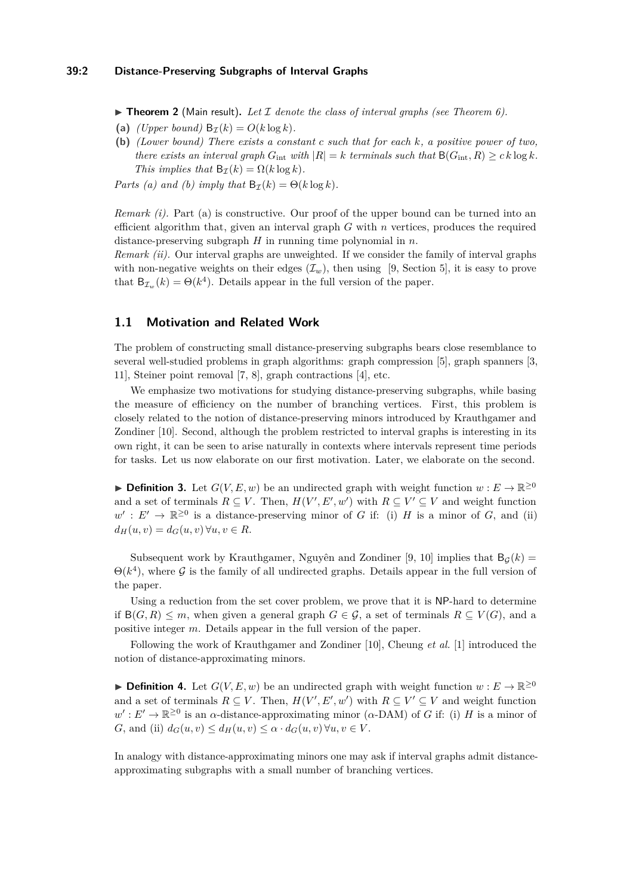## **39:2 Distance-Preserving Subgraphs of Interval Graphs**

<span id="page-1-0"></span> $\triangleright$  **Theorem 2** (Main result). Let I denote the class of interval graphs (see [Theorem 6\)](#page-4-0).

- (a) *(Upper bound)*  $B_{\tau}(k) = O(k \log k)$ .
- **(b)** *(Lower bound) There exists a constant c such that for each k, a positive power of two, there exists an interval graph*  $G_{int}$  *with*  $|R| = k$  *terminals such that*  $B(G_{int}, R) \geq c k \log k$ *. This implies that*  $B_{\mathcal{I}}(k) = \Omega(k \log k)$ *.*

*Parts (a) and (b) imply that*  $B_{\tau}(k) = \Theta(k \log k)$ .

*Remark (i).* Part (a) is constructive. Our proof of the upper bound can be turned into an efficient algorithm that, given an interval graph *G* with *n* vertices, produces the required distance-preserving subgraph *H* in running time polynomial in *n*.

*Remark (ii).* Our interval graphs are unweighted. If we consider the family of interval graphs with non-negative weights on their edges  $(\mathcal{I}_w)$ , then using [\[9,](#page-12-1) Section 5], it is easy to prove that  $B_{\mathcal{I}_w}(k) = \Theta(k^4)$ . Details appear in the full version of the paper.

## **1.1 Motivation and Related Work**

The problem of constructing small distance-preserving subgraphs bears close resemblance to several well-studied problems in graph algorithms: graph compression [\[5\]](#page-12-2), graph spanners [\[3,](#page-12-3) [11\]](#page-12-4), Steiner point removal [\[7,](#page-12-5) [8\]](#page-12-6), graph contractions [\[4\]](#page-12-7), etc.

We emphasize two motivations for studying distance-preserving subgraphs, while basing the measure of efficiency on the number of branching vertices. First, this problem is closely related to the notion of distance-preserving minors introduced by Krauthgamer and Zondiner [\[10\]](#page-12-8). Second, although the problem restricted to interval graphs is interesting in its own right, it can be seen to arise naturally in contexts where intervals represent time periods for tasks. Let us now elaborate on our first motivation. Later, we elaborate on the second.

**► Definition 3.** Let  $G(V, E, w)$  be an undirected graph with weight function  $w : E \to \mathbb{R}^{\geq 0}$ and a set of terminals  $R \subseteq V$ . Then,  $H(V', E', w')$  with  $R \subseteq V' \subseteq V$  and weight function  $w' : E' \to \mathbb{R}^{\geq 0}$  is a distance-preserving minor of *G* if: (i) *H* is a minor of *G*, and (ii)  $d_H(u, v) = d_G(u, v) \forall u, v \in R$ .

Subsequent work by Krauthgamer, Nguyên and Zondiner [\[9,](#page-12-1) [10\]](#page-12-8) implies that  $B_G(k)$  =  $\Theta(k^4)$ , where G is the family of all undirected graphs. Details appear in the full version of the paper.

Using a reduction from the set cover problem, we prove that it is NP-hard to determine if  $B(G, R) \leq m$ , when given a general graph  $G \in \mathcal{G}$ , a set of terminals  $R \subseteq V(G)$ , and a positive integer *m*. Details appear in the full version of the paper.

Following the work of Krauthgamer and Zondiner [\[10\]](#page-12-8), Cheung *et al.* [\[1\]](#page-11-0) introduced the notion of distance-approximating minors.

**► Definition 4.** Let  $G(V, E, w)$  be an undirected graph with weight function  $w : E \to \mathbb{R}^{\geq 0}$ and a set of terminals  $R \subseteq V$ . Then,  $H(V', E', w')$  with  $R \subseteq V' \subseteq V$  and weight function  $w': E' \to \mathbb{R}^{\geq 0}$  is an *α*-distance-approximating minor (*α*-DAM) of *G* if: (i) *H* is a minor of *G*, and (ii)  $d_G(u, v) \leq d_H(u, v) \leq \alpha \cdot d_G(u, v) \forall u, v \in V$ .

In analogy with distance-approximating minors one may ask if interval graphs admit distanceapproximating subgraphs with a small number of branching vertices.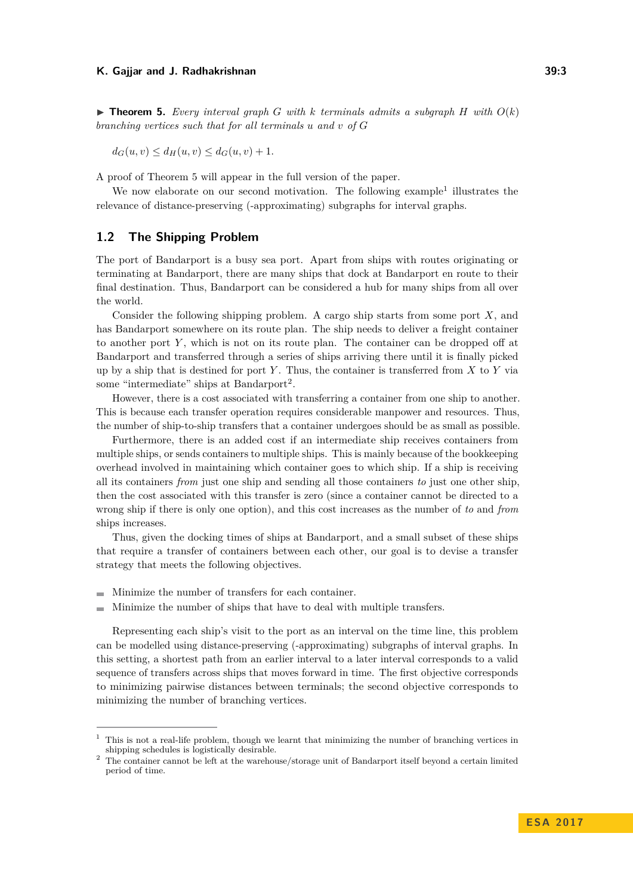<span id="page-2-0"></span> $\triangleright$  **Theorem 5.** Every interval graph *G* with *k* terminals admits a subgraph *H* with  $O(k)$ *branching vertices such that for all terminals u and v of G*

$$
d_G(u, v) \le d_H(u, v) \le d_G(u, v) + 1.
$$

A proof of [Theorem 5](#page-2-0) will appear in the full version of the paper.

We now elaborate on our second motivation. The following example<sup>[1](#page-2-1)</sup> illustrates the relevance of distance-preserving (-approximating) subgraphs for interval graphs.

## **1.2 The Shipping Problem**

The port of Bandarport is a busy sea port. Apart from ships with routes originating or terminating at Bandarport, there are many ships that dock at Bandarport en route to their final destination. Thus, Bandarport can be considered a hub for many ships from all over the world.

Consider the following shipping problem. A cargo ship starts from some port *X*, and has Bandarport somewhere on its route plan. The ship needs to deliver a freight container to another port *Y* , which is not on its route plan. The container can be dropped off at Bandarport and transferred through a series of ships arriving there until it is finally picked up by a ship that is destined for port *Y* . Thus, the container is transferred from *X* to *Y* via some "intermediate" ships at Bandarport<sup>[2](#page-2-2)</sup>.

However, there is a cost associated with transferring a container from one ship to another. This is because each transfer operation requires considerable manpower and resources. Thus, the number of ship-to-ship transfers that a container undergoes should be as small as possible.

Furthermore, there is an added cost if an intermediate ship receives containers from multiple ships, or sends containers to multiple ships. This is mainly because of the bookkeeping overhead involved in maintaining which container goes to which ship. If a ship is receiving all its containers *from* just one ship and sending all those containers *to* just one other ship, then the cost associated with this transfer is zero (since a container cannot be directed to a wrong ship if there is only one option), and this cost increases as the number of *to* and *from* ships increases.

Thus, given the docking times of ships at Bandarport, and a small subset of these ships that require a transfer of containers between each other, our goal is to devise a transfer strategy that meets the following objectives.

- Minimize the number of transfers for each container.
- Minimize the number of ships that have to deal with multiple transfers.

Representing each ship's visit to the port as an interval on the time line, this problem can be modelled using distance-preserving (-approximating) subgraphs of interval graphs. In this setting, a shortest path from an earlier interval to a later interval corresponds to a valid sequence of transfers across ships that moves forward in time. The first objective corresponds to minimizing pairwise distances between terminals; the second objective corresponds to minimizing the number of branching vertices.

<span id="page-2-1"></span> $1$ . This is not a real-life problem, though we learnt that minimizing the number of branching vertices in shipping schedules is logistically desirable.

<span id="page-2-2"></span><sup>&</sup>lt;sup>2</sup> The container cannot be left at the warehouse/storage unit of Bandarport itself beyond a certain limited period of time.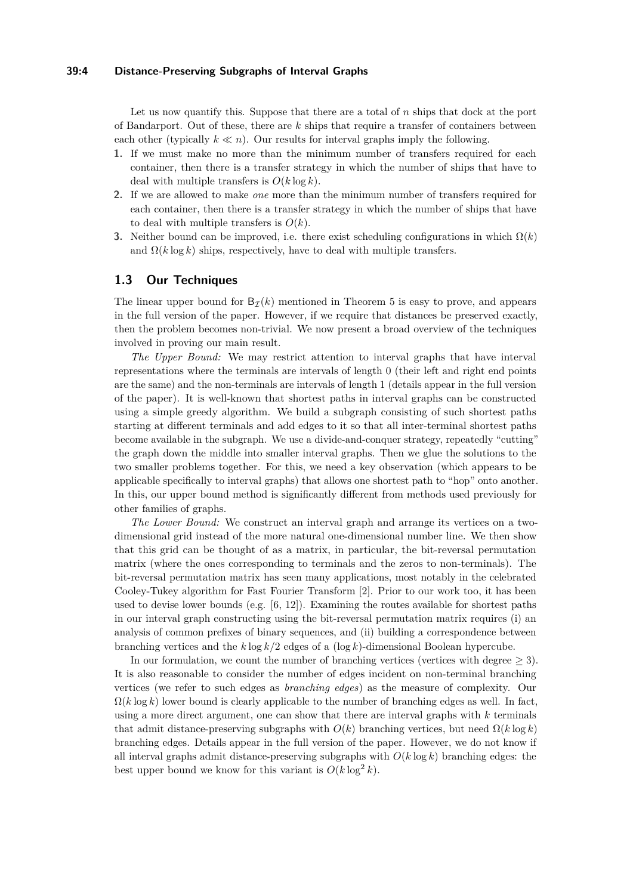## **39:4 Distance-Preserving Subgraphs of Interval Graphs**

Let us now quantify this. Suppose that there are a total of *n* ships that dock at the port of Bandarport. Out of these, there are *k* ships that require a transfer of containers between each other (typically  $k \ll n$ ). Our results for interval graphs imply the following.

- **1.** If we must make no more than the minimum number of transfers required for each container, then there is a transfer strategy in which the number of ships that have to deal with multiple transfers is  $O(k \log k)$ .
- **2.** If we are allowed to make *one* more than the minimum number of transfers required for each container, then there is a transfer strategy in which the number of ships that have to deal with multiple transfers is  $O(k)$ .
- **3.** Neither bound can be improved, i.e. there exist scheduling configurations in which  $\Omega(k)$ and  $\Omega(k \log k)$  ships, respectively, have to deal with multiple transfers.

## **1.3 Our Techniques**

The linear upper bound for  $B_{\mathcal{I}}(k)$  mentioned in [Theorem 5](#page-2-0) is easy to prove, and appears in the full version of the paper. However, if we require that distances be preserved exactly, then the problem becomes non-trivial. We now present a broad overview of the techniques involved in proving our main result.

*The Upper Bound:* We may restrict attention to interval graphs that have interval representations where the terminals are intervals of length 0 (their left and right end points are the same) and the non-terminals are intervals of length 1 (details appear in the full version of the paper). It is well-known that shortest paths in interval graphs can be constructed using a simple greedy algorithm. We build a subgraph consisting of such shortest paths starting at different terminals and add edges to it so that all inter-terminal shortest paths become available in the subgraph. We use a divide-and-conquer strategy, repeatedly "cutting" the graph down the middle into smaller interval graphs. Then we glue the solutions to the two smaller problems together. For this, we need a key observation (which appears to be applicable specifically to interval graphs) that allows one shortest path to "hop" onto another. In this, our upper bound method is significantly different from methods used previously for other families of graphs.

*The Lower Bound:* We construct an interval graph and arrange its vertices on a twodimensional grid instead of the more natural one-dimensional number line. We then show that this grid can be thought of as a matrix, in particular, the bit-reversal permutation matrix (where the ones corresponding to terminals and the zeros to non-terminals). The bit-reversal permutation matrix has seen many applications, most notably in the celebrated Cooley-Tukey algorithm for Fast Fourier Transform [\[2\]](#page-12-9). Prior to our work too, it has been used to devise lower bounds (e.g.  $[6, 12]$  $[6, 12]$  $[6, 12]$ ). Examining the routes available for shortest paths in our interval graph constructing using the bit-reversal permutation matrix requires (i) an analysis of common prefixes of binary sequences, and (ii) building a correspondence between branching vertices and the *k* log *k/*2 edges of a (log *k*)-dimensional Boolean hypercube.

In our formulation, we count the number of branching vertices (vertices with degree  $\geq 3$ ). It is also reasonable to consider the number of edges incident on non-terminal branching vertices (we refer to such edges as *branching edges*) as the measure of complexity. Our  $\Omega(k \log k)$  lower bound is clearly applicable to the number of branching edges as well. In fact, using a more direct argument, one can show that there are interval graphs with *k* terminals that admit distance-preserving subgraphs with  $O(k)$  branching vertices, but need  $\Omega(k \log k)$ branching edges. Details appear in the full version of the paper. However, we do not know if all interval graphs admit distance-preserving subgraphs with *O*(*k* log *k*) branching edges: the best upper bound we know for this variant is  $O(k \log^2 k)$ .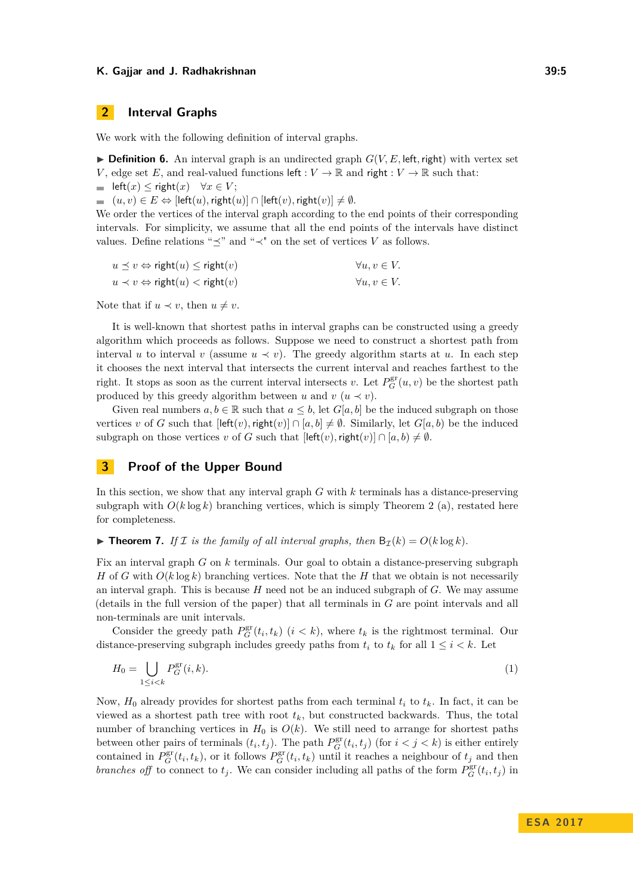# **2 Interval Graphs**

We work with the following definition of interval graphs.

<span id="page-4-0"></span> $\triangleright$  **Definition 6.** An interval graph is an undirected graph  $G(V, E, \text{left}, \text{right})$  with vertex set *V*, edge set *E*, and real-valued functions left :  $V \to \mathbb{R}$  and right :  $V \to \mathbb{R}$  such that:

 $\blacksquare$  left(*x*) ≤ right(*x*) ∀*x* ∈ *V*;

 $( u, v ) \in E$  ⇔ [left $( u ),$  right $( u )$ ] ∩ [left $( v ),$  right $( v )$ ] ≠ Ø.

We order the vertices of the interval graph according to the end points of their corresponding intervals. For simplicity, we assume that all the end points of the intervals have distinct values. Define relations " $\preceq$ " and " $\prec$ " on the set of vertices *V* as follows.

| $u \preceq v \Leftrightarrow \text{right}(u) \leq \text{right}(v)$ | $\forall u, v \in V.$ |
|--------------------------------------------------------------------|-----------------------|
| $u \prec v \Leftrightarrow \text{right}(u) < \text{right}(v)$      | $\forall u, v \in V.$ |

Note that if  $u \prec v$ , then  $u \neq v$ .

It is well-known that shortest paths in interval graphs can be constructed using a greedy algorithm which proceeds as follows. Suppose we need to construct a shortest path from interval *u* to interval *v* (assume  $u \prec v$ ). The greedy algorithm starts at *u*. In each step it chooses the next interval that intersects the current interval and reaches farthest to the right. It stops as soon as the current interval intersects *v*. Let  $P_G^{\text{gr}}(u, v)$  be the shortest path produced by this greedy algorithm between *u* and  $v(u \prec v)$ .

Given real numbers  $a, b \in \mathbb{R}$  such that  $a \leq b$ , let  $G[a, b]$  be the induced subgraph on those vertices *v* of *G* such that  $[\text{left}(v), \text{right}(v)] \cap [a, b] \neq \emptyset$ . Similarly, let *G*[*a, b*] be the induced subgraph on those vertices *v* of *G* such that  $\left[\mathsf{left}(v), \mathsf{right}(v)\right] \cap [a, b) \neq \emptyset$ .

# **3 Proof of the Upper Bound**

In this section, we show that any interval graph *G* with *k* terminals has a distance-preserving subgraph with  $O(k \log k)$  branching vertices, which is simply [Theorem 2](#page-1-0) (a), restated here for completeness.

<span id="page-4-1"></span> $\triangleright$  **Theorem 7.** *If I is the family of all interval graphs, then*  $B_{\mathcal{I}}(k) = O(k \log k)$ *.* 

Fix an interval graph *G* on *k* terminals. Our goal to obtain a distance-preserving subgraph *H* of *G* with  $O(k \log k)$  branching vertices. Note that the *H* that we obtain is not necessarily an interval graph. This is because *H* need not be an induced subgraph of *G*. We may assume (details in the full version of the paper) that all terminals in *G* are point intervals and all non-terminals are unit intervals.

Consider the greedy path  $P_G^{\text{gr}}(t_i, t_k)$  ( $i < k$ ), where  $t_k$  is the rightmost terminal. Our distance-preserving subgraph includes greedy paths from  $t_i$  to  $t_k$  for all  $1 \leq i \leq k$ . Let

$$
H_0 = \bigcup_{1 \le i < k} P_G^{\text{gr}}(i, k). \tag{1}
$$

Now,  $H_0$  already provides for shortest paths from each terminal  $t_i$  to  $t_k$ . In fact, it can be viewed as a shortest path tree with root  $t_k$ , but constructed backwards. Thus, the total number of branching vertices in  $H_0$  is  $O(k)$ . We still need to arrange for shortest paths between other pairs of terminals  $(t_i, t_j)$ . The path  $P_G^{\text{gr}}(t_i, t_j)$  (for  $i < j < k$ ) is either entirely contained in  $P_G^{\text{gr}}(t_i, t_k)$ , or it follows  $P_G^{\text{gr}}(t_i, t_k)$  until it reaches a neighbour of  $t_j$  and then *branches off* to connect to  $t_j$ . We can consider including all paths of the form  $P_G^{\text{gr}}(t_i, t_j)$  in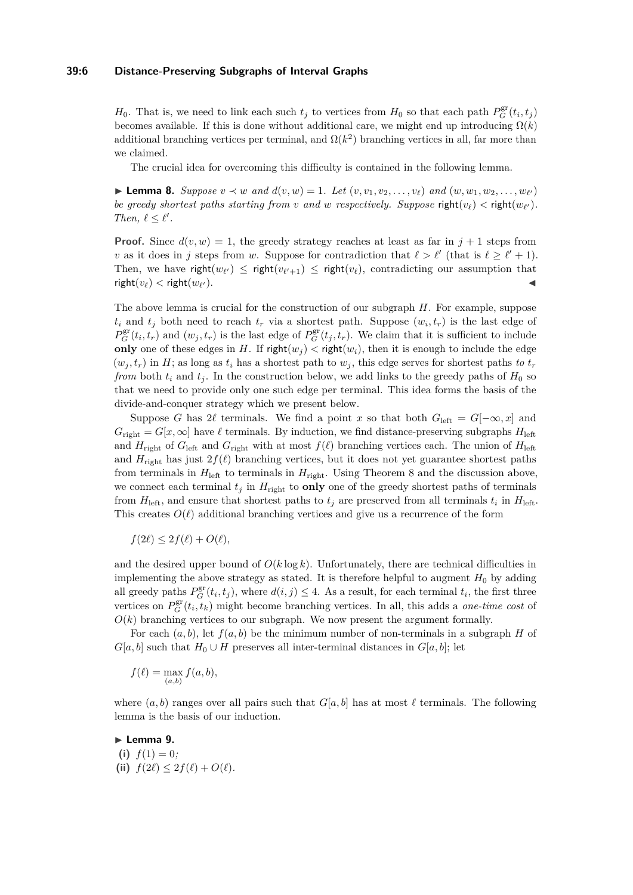#### **39:6 Distance-Preserving Subgraphs of Interval Graphs**

*H*<sub>0</sub>. That is, we need to link each such  $t_j$  to vertices from  $H_0$  so that each path  $P_G^{\text{gr}}(t_i, t_j)$ becomes available. If this is done without additional care, we might end up introducing  $\Omega(k)$ additional branching vertices per terminal, and  $\Omega(k^2)$  branching vertices in all, far more than we claimed.

The crucial idea for overcoming this difficulty is contained in the following lemma.

<span id="page-5-0"></span>► **Lemma 8.** *Suppose*  $v \prec w$  *and*  $d(v, w) = 1$ *. Let*  $(v, v_1, v_2, \ldots, v_\ell)$  *and*  $(w, w_1, w_2, \ldots, w_{\ell'})$ *be greedy shortest paths starting from <i>v and w respectively. Suppose* **right** $(v_\ell)$  < **right** $(w_{\ell'})$ *. Then,*  $\ell \leq \ell'$ .

**Proof.** Since  $d(v, w) = 1$ , the greedy strategy reaches at least as far in  $j + 1$  steps from *v* as it does in *j* steps from *w*. Suppose for contradiction that  $\ell > \ell'$  (that is  $\ell \geq \ell' + 1$ ). Then, we have right $(w_{\ell'}) \leq$  right $(v_{\ell'+1}) \leq$  right $(v_{\ell})$ , contradicting our assumption that  $\mathsf{right}(v_\ell) < \mathsf{right}(w_{\ell'})$ .  $\mathcal{O}(n)$ .

The above lemma is crucial for the construction of our subgraph *H*. For example, suppose  $t_i$  and  $t_j$  both need to reach  $t_r$  via a shortest path. Suppose  $(w_i, t_r)$  is the last edge of  $P_G^{\text{gr}}(t_i, t_r)$  and  $(w_j, t_r)$  is the last edge of  $P_G^{\text{gr}}(t_j, t_r)$ . We claim that it is sufficient to include **only** one of these edges in *H*. If right $(w_i) <$  right $(w_i)$ , then it is enough to include the edge  $(w_i, t_r)$  in *H*; as long as  $t_i$  has a shortest path to  $w_i$ , this edge serves for shortest paths *to*  $t_r$ *from* both  $t_i$  and  $t_j$ . In the construction below, we add links to the greedy paths of  $H_0$  so that we need to provide only one such edge per terminal. This idea forms the basis of the divide-and-conquer strategy which we present below.

Suppose *G* has 2 $\ell$  terminals. We find a point *x* so that both  $G_{\text{left}} = G[-\infty, x]$  and  $G_{\text{right}} = G[x, \infty]$  have  $\ell$  terminals. By induction, we find distance-preserving subgraphs  $H_{\text{left}}$ and  $H_{\text{right}}$  of  $G_{\text{left}}$  and  $G_{\text{right}}$  with at most  $f(\ell)$  branching vertices each. The union of  $H_{\text{left}}$ and  $H_{\text{right}}$  has just  $2f(\ell)$  branching vertices, but it does not yet guarantee shortest paths from terminals in  $H_{\text{left}}$  to terminals in  $H_{\text{right}}$ . Using [Theorem 8](#page-5-0) and the discussion above, we connect each terminal  $t_j$  in  $H_{\text{right}}$  to **only** one of the greedy shortest paths of terminals from  $H_{\text{left}}$ , and ensure that shortest paths to  $t_j$  are preserved from all terminals  $t_i$  in  $H_{\text{left}}$ . This creates  $O(\ell)$  additional branching vertices and give us a recurrence of the form

$$
f(2\ell) \le 2f(\ell) + O(\ell),
$$

and the desired upper bound of  $O(k \log k)$ . Unfortunately, there are technical difficulties in implementing the above strategy as stated. It is therefore helpful to augment  $H_0$  by adding all greedy paths  $P_G^{\text{gr}}(t_i, t_j)$ , where  $d(i, j) \leq 4$ . As a result, for each terminal  $t_i$ , the first three vertices on  $P_G^{\text{gr}}(t_i, t_k)$  might become branching vertices. In all, this adds a *one-time cost* of  $O(k)$  branching vertices to our subgraph. We now present the argument formally.

For each (*a, b*), let *f*(*a, b*) be the minimum number of non-terminals in a subgraph *H* of  $G[a, b]$  such that  $H_0 \cup H$  preserves all inter-terminal distances in  $G[a, b]$ ; let

$$
f(\ell) = \max_{(a,b)} f(a,b),
$$

where  $(a, b)$  ranges over all pairs such that  $G[a, b]$  has at most  $\ell$  terminals. The following lemma is the basis of our induction.

<span id="page-5-1"></span>► Lemma 9. (i)  $f(1) = 0$ ; **(ii)**  $f(2\ell) \leq 2f(\ell) + O(\ell)$ .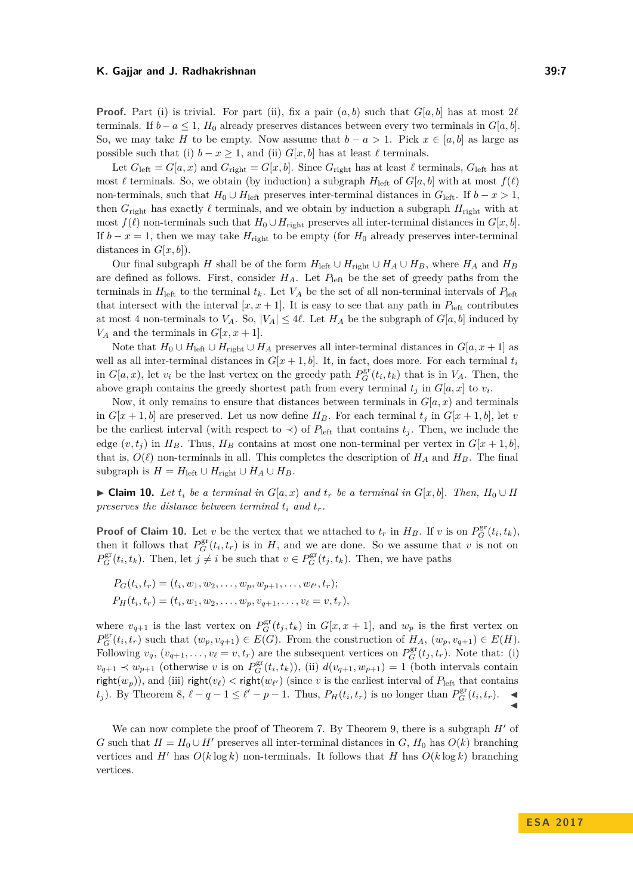**Proof.** Part (i) is trivial. For part (ii), fix a pair  $(a, b)$  such that  $G[a, b]$  has at most  $2\ell$ terminals. If  $b - a \leq 1$ ,  $H_0$  already preserves distances between every two terminals in  $G[a, b]$ . So, we may take *H* to be empty. Now assume that  $b - a > 1$ . Pick  $x \in [a, b]$  as large as possible such that (i)  $b - x \geq 1$ , and (ii)  $G[x, b]$  has at least  $\ell$  terminals.

Let  $G_{\text{left}} = G[a, x)$  and  $G_{\text{right}} = G[x, b]$ . Since  $G_{\text{right}}$  has at least  $\ell$  terminals,  $G_{\text{left}}$  has at most  $\ell$  terminals. So, we obtain (by induction) a subgraph  $H_{\text{left}}$  of  $G[a, b]$  with at most  $f(\ell)$ non-terminals, such that  $H_0 \cup H_{\text{left}}$  preserves inter-terminal distances in  $G_{\text{left}}$ . If  $b - x > 1$ , then  $G_{\text{right}}$  has exactly  $\ell$  terminals, and we obtain by induction a subgraph  $H_{\text{right}}$  with at most  $f(\ell)$  non-terminals such that  $H_0 \cup H_{\text{right} }$  preserves all inter-terminal distances in  $G[x, b]$ . If  $b - x = 1$ , then we may take  $H_{\text{right}}$  to be empty (for  $H_0$  already preserves inter-terminal distances in  $G[x, b]$ ).

Our final subgraph *H* shall be of the form  $H_{\text{left}} \cup H_{\text{right}} \cup H_A \cup H_B$ , where  $H_A$  and  $H_B$ are defined as follows. First, consider  $H_A$ . Let  $P_{\text{left}}$  be the set of greedy paths from the terminals in  $H_{\text{left}}$  to the terminal  $t_k$ . Let  $V_A$  be the set of all non-terminal intervals of  $P_{\text{left}}$ that intersect with the interval  $[x, x + 1]$ . It is easy to see that any path in  $P_{\text{left}}$  contributes at most 4 non-terminals to  $V_A$ . So,  $|V_A| \leq 4\ell$ . Let  $H_A$  be the subgraph of  $G[a, b]$  induced by  $V_A$  and the terminals in  $G[x, x+1]$ .

Note that  $H_0 \cup H_{\text{left}} \cup H_{\text{right}} \cup H_A$  preserves all inter-terminal distances in  $G[a, x+1]$  as well as all inter-terminal distances in  $G[x + 1, b]$ . It, in fact, does more. For each terminal  $t_i$ in  $G[a, x)$ , let  $v_i$  be the last vertex on the greedy path  $P_G^{\text{gr}}(t_i, t_k)$  that is in  $V_A$ . Then, the above graph contains the greedy shortest path from every terminal  $t_j$  in  $G[a, x]$  to  $v_i$ .

Now, it only remains to ensure that distances between terminals in  $G[a, x)$  and terminals in  $G[x + 1, b]$  are preserved. Let us now define  $H_B$ . For each terminal  $t_j$  in  $G[x + 1, b]$ , let *v* be the earliest interval (with respect to  $\prec$ ) of  $P_{\text{left}}$  that contains  $t_j$ . Then, we include the edge  $(v, t_i)$  in  $H_B$ . Thus,  $H_B$  contains at most one non-terminal per vertex in  $G[x + 1, b]$ , that is,  $O(\ell)$  non-terminals in all. This completes the description of  $H_A$  and  $H_B$ . The final subgraph is  $H = H_{\text{left}} \cup H_{\text{right}} \cup H_A \cup H_B$ .

<span id="page-6-0"></span>► **Claim 10.** Let  $t_i$  be a terminal in  $G[a, x)$  and  $t_r$  be a terminal in  $G[x, b]$ . Then,  $H_0 \cup H$ *preserves the distance between terminal*  $t_i$  *and*  $t_r$ *.* 

**Proof of [Claim 10.](#page-6-0)** Let *v* be the vertex that we attached to  $t_r$  in  $H_B$ . If *v* is on  $P_G^{\text{gr}}(t_i, t_k)$ , then it follows that  $P_G^{\text{gr}}(t_i, t_r)$  is in *H*, and we are done. So we assume that *v* is not on  $P_G^{\text{gr}}(t_i, t_k)$ . Then, let  $j \neq i$  be such that  $v \in P_G^{\text{gr}}(t_j, t_k)$ . Then, we have paths

$$
P_G(t_i, t_r) = (t_i, w_1, w_2, \dots, w_p, w_{p+1}, \dots, w_{\ell'}, t_r);
$$
  
\n
$$
P_H(t_i, t_r) = (t_i, w_1, w_2, \dots, w_p, v_{q+1}, \dots, v_{\ell} = v, t_r),
$$

where  $v_{q+1}$  is the last vertex on  $P_G^{\text{gr}}(t_j, t_k)$  in  $G[x, x+1]$ , and  $w_p$  is the first vertex on  $P_G^{\text{gr}}(t_i, t_r)$  such that  $(w_p, v_{q+1}) \in E(G)$ . From the construction of  $H_A$ ,  $(w_p, v_{q+1}) \in E(H)$ . Following  $v_q$ ,  $(v_{q+1}, \ldots, v_\ell = v, t_r)$  are the subsequent vertices on  $P_G^{\text{gr}}(t_j, t_r)$ . Note that: (i)  $v_{q+1} \prec w_{p+1}$  (otherwise *v* is on  $P_G^{\text{gr}}(t_i, t_k)$ ), (ii)  $d(v_{q+1}, w_{p+1}) = 1$  (both intervals contain  $\mathsf{right}(w_p)$ ), and (iii)  $\mathsf{right}(v_\ell) < \mathsf{right}(w_{\ell'})$  (since *v* is the earliest interval of  $P_{\text{left}}$  that contains  $(t_j)$ . By [Theorem 8,](#page-5-0)  $\ell - q - 1 \leq \ell' - p - 1$ . Thus,  $P_H(t_i, t_r)$  is no longer than  $P_G^{\text{gr}}(t_i, t_r)$ .

We can now complete the proof of [Theorem 7.](#page-4-1) By [Theorem 9,](#page-5-1) there is a subgraph  $H'$  of *G* such that  $H = H_0 \cup H'$  preserves all inter-terminal distances in *G*,  $H_0$  has  $O(k)$  branching vertices and *H*<sup> $\prime$ </sup> has  $O(k \log k)$  non-terminals. It follows that *H* has  $O(k \log k)$  branching vertices.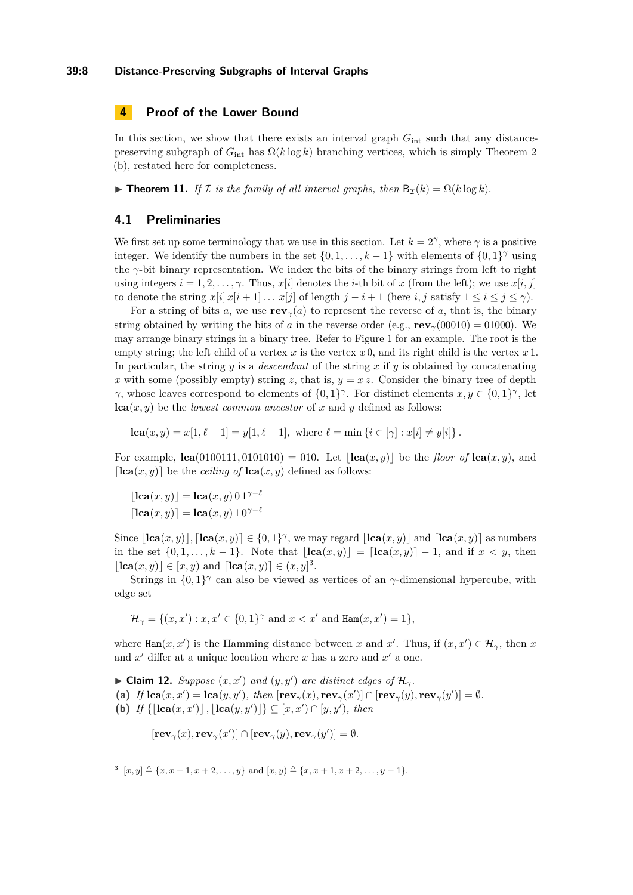#### **39:8 Distance-Preserving Subgraphs of Interval Graphs**

# **4 Proof of the Lower Bound**

In this section, we show that there exists an interval graph  $G_{\text{int}}$  such that any distancepreserving subgraph of  $G_{\text{int}}$  has  $\Omega(k \log k)$  branching vertices, which is simply [Theorem 2](#page-1-0) (b), restated here for completeness.

<span id="page-7-2"></span> $\triangleright$  **Theorem 11.** *If I is the family of all interval graphs, then* B<sub>*I*</sub>(*k*) = Ω(*k* log *k*).

#### **4.1 Preliminaries**

We first set up some terminology that we use in this section. Let  $k = 2^{\gamma}$ , where  $\gamma$  is a positive integer. We identify the numbers in the set  $\{0, 1, \ldots, k-1\}$  with elements of  $\{0, 1\}^{\gamma}$  using the *γ*-bit binary representation. We index the bits of the binary strings from left to right using integers  $i = 1, 2, \ldots, \gamma$ . Thus,  $x[i]$  denotes the *i*-th bit of  $x$  (from the left); we use  $x[i, j]$ to denote the string  $x[i] x[i+1] \dots x[j]$  of length  $j - i + 1$  (here *i, j* satisfy  $1 \le i \le j \le \gamma$ ).

For a string of bits *a*, we use  $\mathbf{rev}_\gamma(a)$  to represent the reverse of *a*, that is, the binary string obtained by writing the bits of *a* in the reverse order (e.g., **rev**<sub>*γ*</sub>(00010) = 01000). We may arrange binary strings in a binary tree. Refer to [Figure 1](#page-8-0) for an example. The root is the empty string; the left child of a vertex *x* is the vertex  $x \, 0$ , and its right child is the vertex  $x \, 1$ . In particular, the string *y* is a *descendant* of the string *x* if *y* is obtained by concatenating *x* with some (possibly empty) string *z*, that is,  $y = xz$ . Consider the binary tree of depth *γ*, whose leaves correspond to elements of  $\{0,1\}^{\gamma}$ . For distinct elements  $x, y \in \{0,1\}^{\gamma}$ , let  $lca(x, y)$  be the *lowest common ancestor* of x and y defined as follows:

$$
lca(x, y) = x[1, \ell - 1] = y[1, \ell - 1], \text{ where } \ell = \min\left\{i \in [\gamma] : x[i] \neq y[i]\right\}.
$$

For example,  $\textbf{lca}(0100111, 0101010) = 010$ . Let  $|\textbf{lca}(x, y)|$  be the *floor of*  $\textbf{lca}(x, y)$ , and  $\lceil \text{lca}(x, y) \rceil$  be the *ceiling of*  $\text{lca}(x, y)$  defined as follows:

$$
[\mathbf{lca}(x,y)] = \mathbf{lca}(x,y) \ 0 \ 1^{\gamma-\ell}
$$

$$
[\mathbf{lca}(x,y)] = \mathbf{lca}(x,y) \ 1 \ 0^{\gamma-\ell}
$$

Since  $[\textbf{lca}(x, y)]$ ,  $[\textbf{lca}(x, y)] \in \{0, 1\}^{\gamma}$ , we may regard  $[\textbf{lca}(x, y)]$  and  $[\textbf{lca}(x, y)]$  as numbers in the set  $\{0, 1, \ldots, k-1\}$ . Note that  $|\text{lca}(x, y)| = [\text{lca}(x, y)] - 1$ , and if  $x < y$ , then  $[\textbf{lca}(x, y)] \in [x, y)$  and  $[\textbf{lca}(x, y)] \in (x, y]^3$  $[\textbf{lca}(x, y)] \in (x, y]^3$ .

Strings in  $\{0,1\}^{\gamma}$  can also be viewed as vertices of an  $\gamma$ -dimensional hypercube, with edge set

 $\mathcal{H}_{\gamma} = \{(x, x') : x, x' \in \{0, 1\}^{\gamma} \text{ and } x < x' \text{ and } \text{Ham}(x, x') = 1\},$ 

where  $\text{Ham}(x, x')$  is the Hamming distance between *x* and *x'*. Thus, if  $(x, x') \in \mathcal{H}_{\gamma}$ , then *x* and  $x'$  differ at a unique location where  $x$  has a zero and  $x'$  a one.

<span id="page-7-1"></span>► Claim 12. *Suppose*  $(x, x')$  *and*  $(y, y')$  *are distinct edges of*  $\mathcal{H}_{\gamma}$ *.* (a) If  $lca(x, x') = lca(y, y')$ , then  $[\mathbf{rev}_{\gamma}(x), \mathbf{rev}_{\gamma}(x')] \cap [\mathbf{rev}_{\gamma}(y), \mathbf{rev}_{\gamma}(y')] = \emptyset$ . **(b)** *If*  $\{|\textbf{lca}(x, x')|, |\textbf{lca}(y, y')|\} \subseteq [x, x') \cap [y, y')$ , then

 $[\mathbf{rev}_{\gamma}(x), \mathbf{rev}_{\gamma}(x')] \cap [\mathbf{rev}_{\gamma}(y), \mathbf{rev}_{\gamma}(y')] = \emptyset.$ 

<span id="page-7-0"></span> $x^3$   $[x, y] \triangleq \{x, x+1, x+2, \ldots, y\}$  and  $[x, y) \triangleq \{x, x+1, x+2, \ldots, y-1\}.$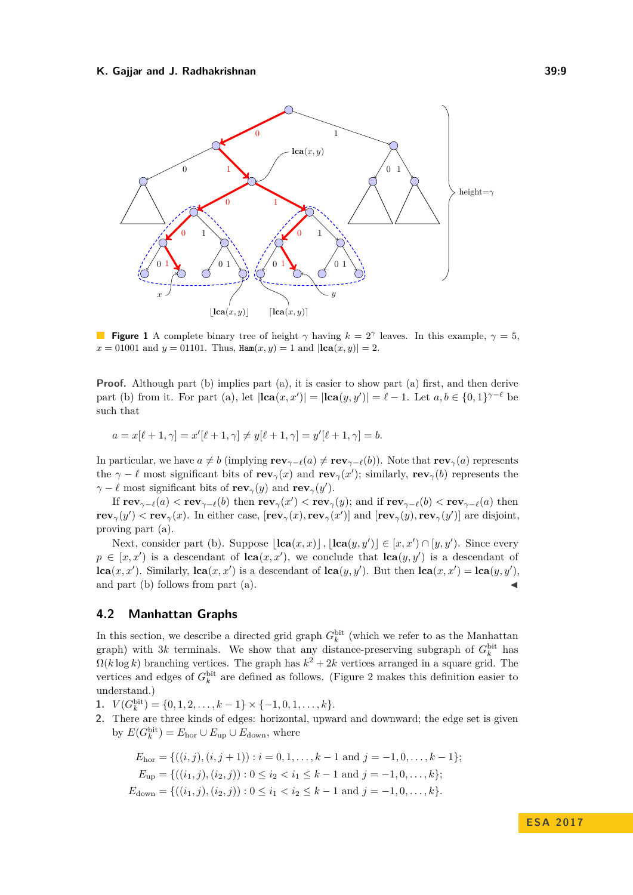<span id="page-8-0"></span>

**Figure 1** A complete binary tree of height  $\gamma$  having  $k = 2^{\gamma}$  leaves. In this example,  $\gamma = 5$ ,  $x = 01001$  and  $y = 01101$ . Thus,  $\text{Ham}(x, y) = 1$  and  $|\text{lea}(x, y)| = 2$ .

**Proof.** Although part (b) implies part (a), it is easier to show part (a) first, and then derive part (b) from it. For part (a), let  $|\text{lca}(x, x')| = |\text{lca}(y, y')| = \ell - 1$ . Let  $a, b \in \{0, 1\}^{\gamma - \ell}$  be such that

$$
a = x[\ell + 1, \gamma] = x'[\ell + 1, \gamma] \neq y[\ell + 1, \gamma] = y'[\ell + 1, \gamma] = b.
$$

In particular, we have  $a \neq b$  (implying  $\mathbf{rev}_{\gamma-\ell}(a) \neq \mathbf{rev}_{\gamma-\ell}(b)$ ). Note that  $\mathbf{rev}_{\gamma}(a)$  represents the  $\gamma - \ell$  most significant bits of **rev**<sub> $\gamma$ </sub>(*x*) and **rev**<sub> $\gamma$ </sub>(*x*'); similarly, **rev**<sub> $\gamma$ </sub>(*b*) represents the  $\gamma - \ell$  most significant bits of **rev**<sub>*γ*</sub>(*y*) and **rev**<sub>*γ*</sub>(*y*<sup> $\prime$ </sup>).

If  $rev_{\gamma-\ell}(a) < rev_{\gamma-\ell}(b)$  then  $rev_{\gamma}(x') < rev_{\gamma}(y)$ ; and if  $rev_{\gamma-\ell}(b) < rev_{\gamma-\ell}(a)$  then  $rev_{\gamma}(y') < rev_{\gamma}(x)$ . In either case,  $[rev_{\gamma}(x), rev_{\gamma}(x')]$  and  $[rev_{\gamma}(y), rev_{\gamma}(y')]$  are disjoint, proving part (a).

Next, consider part (b). Suppose  $|\textbf{lca}(x, x)|$ ,  $|\textbf{lca}(y, y')| \in [x, x') \cap [y, y']$ . Since every  $p \in [x, x']$  is a descendant of  $lca(x, x')$ , we conclude that  $lca(y, y')$  is a descendant of **lca** $(x, x')$ . Similarly, **lca** $(x, x')$  is a descendant of **lca** $(y, y')$ . But then **lca** $(x, x') =$ **lca** $(y, y')$ , and part  $(b)$  follows from part  $(a)$ .

## **4.2 Manhattan Graphs**

In this section, we describe a directed grid graph  $G_k^{\text{bit}}$  (which we refer to as the Manhattan graph) with  $3k$  terminals. We show that any distance-preserving subgraph of  $G_k^{\text{bit}}$  has  $\Omega(k \log k)$  branching vertices. The graph has  $k^2 + 2k$  vertices arranged in a square grid. The vertices and edges of  $G_k^{\text{bit}}$  are defined as follows. [\(Figure 2](#page-9-0) makes this definition easier to understand.)

**1.**  $V(G_k^{\text{bit}}) = \{0, 1, 2, \ldots, k - 1\} \times \{-1, 0, 1, \ldots, k\}.$ 

**2.** There are three kinds of edges: horizontal, upward and downward; the edge set is given by  $E(G_k^{\text{bit}}) = E_{\text{hor}} \cup E_{\text{up}} \cup E_{\text{down}}$ , where

$$
E_{\text{hor}} = \{((i, j), (i, j + 1)) : i = 0, 1, \dots, k - 1 \text{ and } j = -1, 0, \dots, k - 1\};
$$
  
\n
$$
E_{\text{up}} = \{((i_1, j), (i_2, j)) : 0 \le i_2 < i_1 \le k - 1 \text{ and } j = -1, 0, \dots, k\};
$$
  
\n
$$
E_{\text{down}} = \{((i_1, j), (i_2, j)) : 0 \le i_1 < i_2 \le k - 1 \text{ and } j = -1, 0, \dots, k\}.
$$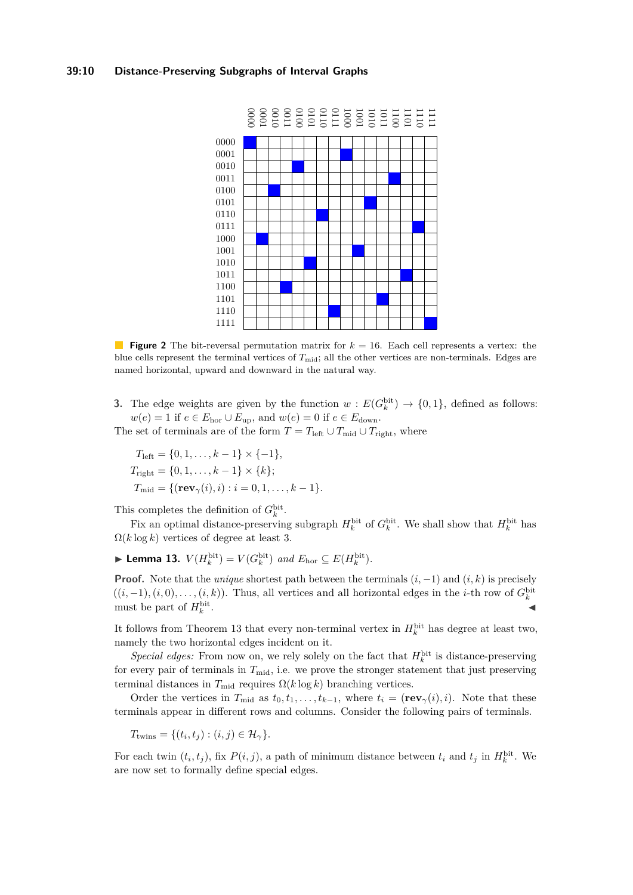#### <span id="page-9-0"></span>**39:10 Distance-Preserving Subgraphs of Interval Graphs**



**Figure 2** The bit-reversal permutation matrix for *k* = 16. Each cell represents a vertex: the blue cells represent the terminal vertices of  $T_{mid}$ ; all the other vertices are non-terminals. Edges are named horizontal, upward and downward in the natural way.

**3.** The edge weights are given by the function  $w : E(G_k^{\text{bit}}) \to \{0,1\}$ , defined as follows:  $w(e) = 1$  if  $e \in E_{\text{hor}} \cup E_{\text{up}}$ , and  $w(e) = 0$  if  $e \in E_{\text{down}}$ .

The set of terminals are of the form  $T = T_{\text{left}} \cup T_{\text{mid}} \cup T_{\text{right}}$ , where

$$
T_{\text{left}} = \{0, 1, \dots, k - 1\} \times \{-1\},
$$
  
\n
$$
T_{\text{right}} = \{0, 1, \dots, k - 1\} \times \{k\};
$$
  
\n
$$
T_{\text{mid}} = \{(\mathbf{rev}_{\gamma}(i), i) : i = 0, 1, \dots, k - 1\}.
$$

This completes the definition of  $G_k^{\text{bit}}$ .

Fix an optimal distance-preserving subgraph  $H_k^{\text{bit}}$  of  $G_k^{\text{bit}}$ . We shall show that  $H_k^{\text{bit}}$  has  $\Omega(k \log k)$  vertices of degree at least 3.

<span id="page-9-1"></span>▶ **Lemma 13.**  $V(H_k^{\text{bit}}) = V(G_k^{\text{bit}})$  and  $E_{\text{hor}} \subseteq E(H_k^{\text{bit}})$ .

**Proof.** Note that the *unique* shortest path between the terminals  $(i, -1)$  and  $(i, k)$  is precisely  $((i, -1), (i, 0), \ldots, (i, k))$ . Thus, all vertices and all horizontal edges in the *i*-th row of  $G_k^{\text{bit}}$ must be part of  $H_k^{\text{bit}}$ . John J. M. Maria and J. M. Maria and J. M. Maria and J. M. Maria and J. M. Maria and J. M. Maria and J. M. M

It follows from [Theorem 13](#page-9-1) that every non-terminal vertex in  $H_k^{\text{bit}}$  has degree at least two, namely the two horizontal edges incident on it.

*Special edges:* From now on, we rely solely on the fact that  $H_k^{\text{bit}}$  is distance-preserving for every pair of terminals in  $T_{\text{mid}}$ , i.e. we prove the stronger statement that just preserving terminal distances in  $T_{mid}$  requires  $\Omega(k \log k)$  branching vertices.

Order the vertices in  $T_{mid}$  as  $t_0, t_1, \ldots, t_{k-1}$ , where  $t_i = (\mathbf{rev}_{\gamma}(i), i)$ . Note that these terminals appear in different rows and columns. Consider the following pairs of terminals.

$$
T_{\text{twins}} = \{ (t_i, t_j) : (i, j) \in \mathcal{H}_{\gamma} \}.
$$

For each twin  $(t_i, t_j)$ , fix  $P(i, j)$ , a path of minimum distance between  $t_i$  and  $t_j$  in  $H_k^{\text{bit}}$ . We are now set to formally define special edges.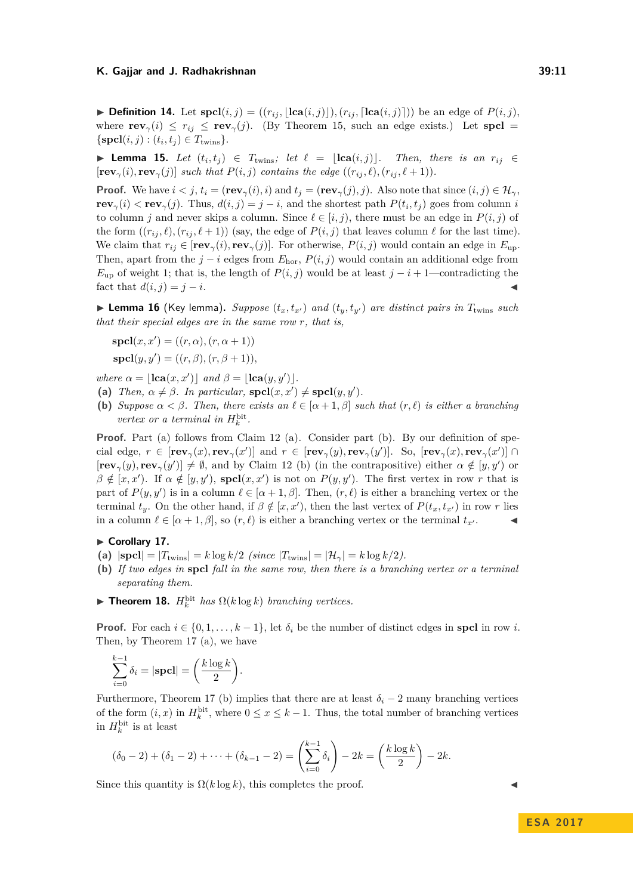$\blacktriangleright$  **Definition 14.** Let  $\text{spcl}(i,j) = ((r_{ij}, |\text{lca}(i,j)|), (r_{ij}, |\text{lca}(i,j)|))$  be an edge of  $P(i,j)$ , where  $\mathbf{rev}_\gamma(i) \leq r_{ij} \leq \mathbf{rev}_\gamma(j)$ . (By [Theorem 15,](#page-10-0) such an edge exists.) Let  $\mathbf{spcl} =$  $\{\textbf{spcl}(i, j) : (t_i, t_j) \in T_{\text{twins}}\}.$ 

<span id="page-10-0"></span>▶ **Lemma 15.** *Let*  $(t_i, t_j)$  ∈  $T_{\text{twins}}$ *; let*  $\ell = \lfloor \text{lca}(i, j) \rfloor$ *. Then, there is an*  $r_{ij}$  ∈  $[\mathbf{rev}_\gamma(i), \mathbf{rev}_\gamma(j)]$  *such that*  $P(i, j)$  *contains the edge*  $((r_{ij}, \ell), (r_{ij}, \ell+1))$ *.* 

**Proof.** We have  $i < j$ ,  $t_i = (\mathbf{rev}_\gamma(i), i)$  and  $t_j = (\mathbf{rev}_\gamma(j), j)$ . Also note that since  $(i, j) \in \mathcal{H}_{\gamma}$ , **rev**<sub>*γ*</sub>(*i*)  $\lt$  **rev**<sub>*γ*</sub>(*j*). Thus,  $d(i, j) = j - i$ , and the shortest path  $P(t_i, t_j)$  goes from column *i* to column *j* and never skips a column. Since  $\ell \in [i, j)$ , there must be an edge in  $P(i, j)$  of the form  $((r_{ij}, \ell), (r_{ij}, \ell+1))$  (say, the edge of  $P(i, j)$  that leaves column  $\ell$  for the last time). We claim that  $r_{ij} \in [\mathbf{rev}_\gamma(i), \mathbf{rev}_\gamma(j)]$ . For otherwise,  $P(i, j)$  would contain an edge in  $E_{\text{up}}$ . Then, apart from the  $j - i$  edges from  $E_{\text{hor}}$ ,  $P(i, j)$  would contain an additional edge from  $E_{\text{up}}$  of weight 1; that is, the length of  $P(i, j)$  would be at least  $j - i + 1$ —contradicting the fact that  $d(i, j) = j - i$ .

 $\blacktriangleright$  **Lemma 16** (Key lemma). *Suppose*  $(t_x, t_{x'})$  *and*  $(t_y, t_{y'})$  *are distinct pairs in*  $T_{\text{twins}}$  *such that their special edges are in the same row r, that is,*

$$
\mathbf{spcl}(x, x') = ((r, \alpha), (r, \alpha + 1))
$$

$$
\mathbf{spcl}(y, y') = ((r, \beta), (r, \beta + 1)),
$$

*where*  $\alpha = [\textbf{lca}(x, x')]$  *and*  $\beta = [\textbf{lca}(y, y')]$ *.* 

- (a) *Then,*  $\alpha \neq \beta$ *. In particular,*  $\text{spcl}(x, x') \neq \text{spcl}(y, y')$ *.*
- **(b)** *Suppose*  $\alpha < \beta$ *. Then, there exists an*  $\ell \in [\alpha + 1, \beta]$  *such that*  $(r, \ell)$  *is either a branching vertex or a terminal in*  $H_k^{\text{bit}}$ .

**Proof.** Part (a) follows from [Claim 12](#page-7-1) (a). Consider part (b). By our definition of special edge,  $r \in [rev_{\gamma}(x),rev_{\gamma}(x')]$  and  $r \in [rev_{\gamma}(y),rev_{\gamma}(y')]$ . So,  $[rev_{\gamma}(x),rev_{\gamma}(x')] \cap$  $[\mathbf{rev}_{\gamma}(y), \mathbf{rev}_{\gamma}(y')] \neq \emptyset$ , and by [Claim 12](#page-7-1) (b) (in the contrapositive) either  $\alpha \notin [y, y')$  or  $\beta \notin [x, x']$ . If  $\alpha \notin [y, y')$ , **spcl** $(x, x')$  is not on  $P(y, y')$ . The first vertex in row *r* that is part of  $P(y, y')$  is in a column  $\ell \in [\alpha + 1, \beta]$ . Then,  $(r, \ell)$  is either a branching vertex or the terminal  $t_y$ . On the other hand, if  $\beta \notin [x, x')$ , then the last vertex of  $P(t_x, t_{x'})$  in row *r* lies in a column  $\ell \in [\alpha + 1, \beta]$ , so  $(r, \ell)$  is either a branching vertex or the terminal  $t_{x'}$ .

#### <span id="page-10-1"></span>► Corollary 17.

- (a)  $|\textbf{spcl}| = |T_{\text{twins}}| = k \log k/2$  *(since*  $|T_{\text{twins}}| = |\mathcal{H}_{\gamma}| = k \log k/2$ *).*
- **(b)** *If two edges in* **spcl** *fall in the same row, then there is a branching vertex or a terminal separating them.*
- <span id="page-10-2"></span>**Findment 18.**  $H_k^{\text{bit}}$  has  $\Omega(k \log k)$  branching vertices.

**Proof.** For each  $i \in \{0, 1, \ldots, k-1\}$ , let  $\delta_i$  be the number of distinct edges in **spcl** in row *i*. Then, by [Theorem 17](#page-10-1) (a), we have

$$
\sum_{i=0}^{k-1} \delta_i = |\mathbf{spcl}| = \left(\frac{k \log k}{2}\right).
$$

Furthermore, [Theorem 17](#page-10-1) (b) implies that there are at least  $\delta_i - 2$  many branching vertices of the form  $(i, x)$  in  $H_k^{\text{bit}}$ , where  $0 \le x \le k - 1$ . Thus, the total number of branching vertices in  $H_k^{\text{bit}}$  is at least

$$
(\delta_0 - 2) + (\delta_1 - 2) + \dots + (\delta_{k-1} - 2) = \left(\sum_{i=0}^{k-1} \delta_i\right) - 2k = \left(\frac{k \log k}{2}\right) - 2k.
$$

Since this quantity is  $\Omega(k \log k)$ , this completes the proof.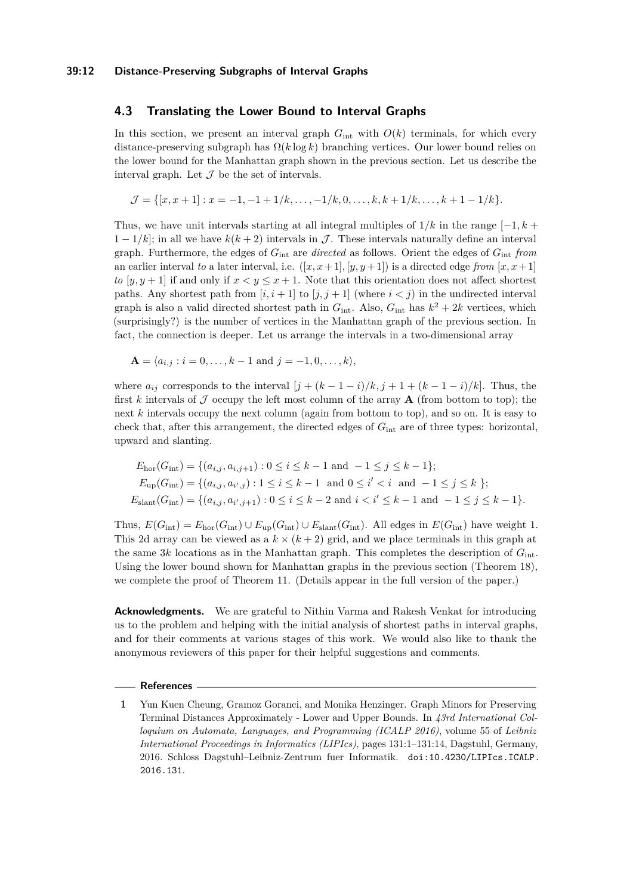#### **39:12 Distance-Preserving Subgraphs of Interval Graphs**

## **4.3 Translating the Lower Bound to Interval Graphs**

In this section, we present an interval graph  $G_{int}$  with  $O(k)$  terminals, for which every distance-preserving subgraph has  $\Omega(k \log k)$  branching vertices. Our lower bound relies on the lower bound for the Manhattan graph shown in the previous section. Let us describe the interval graph. Let  $\mathcal J$  be the set of intervals.

$$
\mathcal{J} = \{ [x, x+1] : x = -1, -1+1/k, \dots, -1/k, 0, \dots, k, k+1/k, \dots, k+1-1/k \}.
$$

Thus, we have unit intervals starting at all integral multiples of  $1/k$  in the range  $[-1, k + 1]$  $1 - 1/k$ ; in all we have  $k(k+2)$  intervals in J. These intervals naturally define an interval graph. Furthermore, the edges of *G*int are *directed* as follows. Orient the edges of *G*int *from* an earlier interval *to* a later interval, i.e.  $([x, x+1], [y, y+1])$  is a directed edge *from*  $[x, x+1]$ *to* [ $y, y + 1$ ] if and only if  $x < y \leq x + 1$ . Note that this orientation does not affect shortest paths. Any shortest path from  $[i, i + 1]$  to  $[j, j + 1]$  (where  $i < j$ ) in the undirected interval graph is also a valid directed shortest path in  $G_{\text{int}}$ . Also,  $G_{\text{int}}$  has  $k^2 + 2k$  vertices, which (surprisingly?) is the number of vertices in the Manhattan graph of the previous section. In fact, the connection is deeper. Let us arrange the intervals in a two-dimensional array

$$
\mathbf{A} = \langle a_{i,j} : i = 0, \dots, k-1 \text{ and } j = -1, 0, \dots, k \rangle,
$$

where  $a_{ij}$  corresponds to the interval  $[j + (k-1-i)/k, j+1+(k-1-i)/k]$ . Thus, the first k intervals of  $\mathcal J$  occupy the left most column of the array  $\mathbf A$  (from bottom to top); the next *k* intervals occupy the next column (again from bottom to top), and so on. It is easy to check that, after this arrangement, the directed edges of *G*int are of three types: horizontal, upward and slanting.

$$
E_{\text{hor}}(G_{\text{int}}) = \{(a_{i,j}, a_{i,j+1}) : 0 \le i \le k-1 \text{ and } -1 \le j \le k-1\};
$$
  
\n
$$
E_{\text{up}}(G_{\text{int}}) = \{(a_{i,j}, a_{i',j}) : 1 \le i \le k-1 \text{ and } 0 \le i' < i \text{ and } -1 \le j \le k \};
$$
  
\n
$$
E_{\text{slant}}(G_{\text{int}}) = \{(a_{i,j}, a_{i',j+1}) : 0 \le i \le k-2 \text{ and } i < i' \le k-1 \text{ and } -1 \le j \le k-1\}.
$$

Thus,  $E(G_{\text{int}}) = E_{\text{hor}}(G_{\text{int}}) \cup E_{\text{up}}(G_{\text{int}}) \cup E_{\text{slant}}(G_{\text{int}})$ . All edges in  $E(G_{\text{int}})$  have weight 1. This 2d array can be viewed as a  $k \times (k+2)$  grid, and we place terminals in this graph at the same 3*k* locations as in the Manhattan graph. This completes the description of  $G_{\text{int}}$ . Using the lower bound shown for Manhattan graphs in the previous section [\(Theorem 18\)](#page-10-2), we complete the proof of [Theorem 11.](#page-7-2) (Details appear in the full version of the paper.)

**Acknowledgments.** We are grateful to Nithin Varma and Rakesh Venkat for introducing us to the problem and helping with the initial analysis of shortest paths in interval graphs, and for their comments at various stages of this work. We would also like to thank the anonymous reviewers of this paper for their helpful suggestions and comments.

#### **References**

<span id="page-11-0"></span>**<sup>1</sup>** Yun Kuen Cheung, Gramoz Goranci, and Monika Henzinger. Graph Minors for Preserving Terminal Distances Approximately - Lower and Upper Bounds. In *43rd International Colloquium on Automata, Languages, and Programming (ICALP 2016)*, volume 55 of *Leibniz International Proceedings in Informatics (LIPIcs)*, pages 131:1–131:14, Dagstuhl, Germany, 2016. Schloss Dagstuhl–Leibniz-Zentrum fuer Informatik. [doi:10.4230/LIPIcs.ICALP.](http://dx.doi.org/10.4230/LIPIcs.ICALP.2016.131) [2016.131](http://dx.doi.org/10.4230/LIPIcs.ICALP.2016.131).